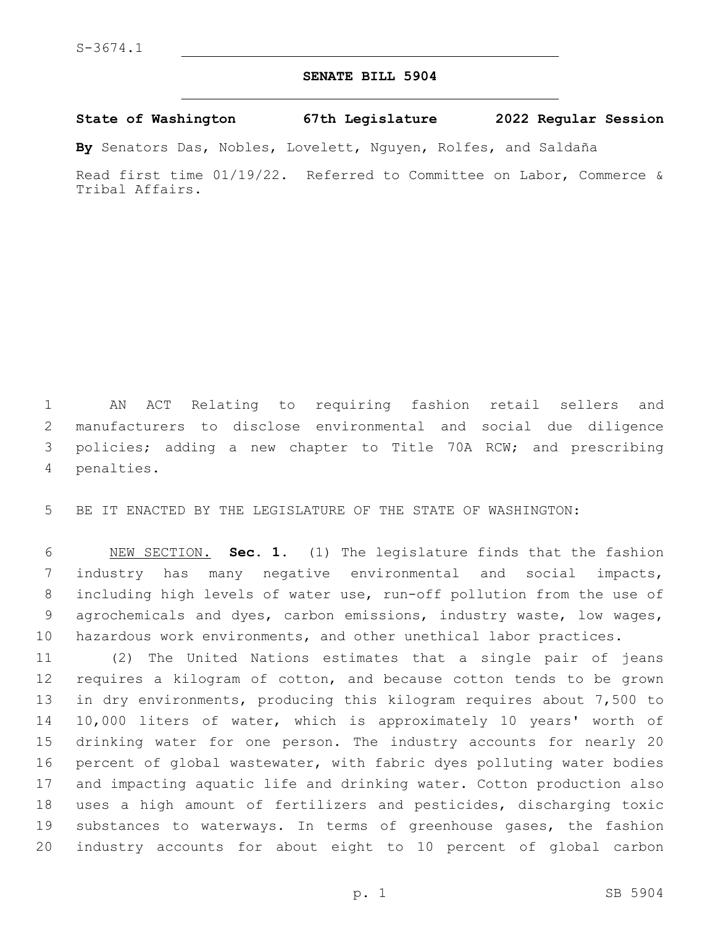## **SENATE BILL 5904**

## **State of Washington 67th Legislature 2022 Regular Session**

**By** Senators Das, Nobles, Lovelett, Nguyen, Rolfes, and Saldaña

Read first time 01/19/22. Referred to Committee on Labor, Commerce & Tribal Affairs.

 AN ACT Relating to requiring fashion retail sellers and manufacturers to disclose environmental and social due diligence policies; adding a new chapter to Title 70A RCW; and prescribing 4 penalties.

BE IT ENACTED BY THE LEGISLATURE OF THE STATE OF WASHINGTON:

 NEW SECTION. **Sec. 1.** (1) The legislature finds that the fashion industry has many negative environmental and social impacts, including high levels of water use, run-off pollution from the use of agrochemicals and dyes, carbon emissions, industry waste, low wages, hazardous work environments, and other unethical labor practices.

 (2) The United Nations estimates that a single pair of jeans requires a kilogram of cotton, and because cotton tends to be grown in dry environments, producing this kilogram requires about 7,500 to 10,000 liters of water, which is approximately 10 years' worth of drinking water for one person. The industry accounts for nearly 20 percent of global wastewater, with fabric dyes polluting water bodies and impacting aquatic life and drinking water. Cotton production also uses a high amount of fertilizers and pesticides, discharging toxic substances to waterways. In terms of greenhouse gases, the fashion industry accounts for about eight to 10 percent of global carbon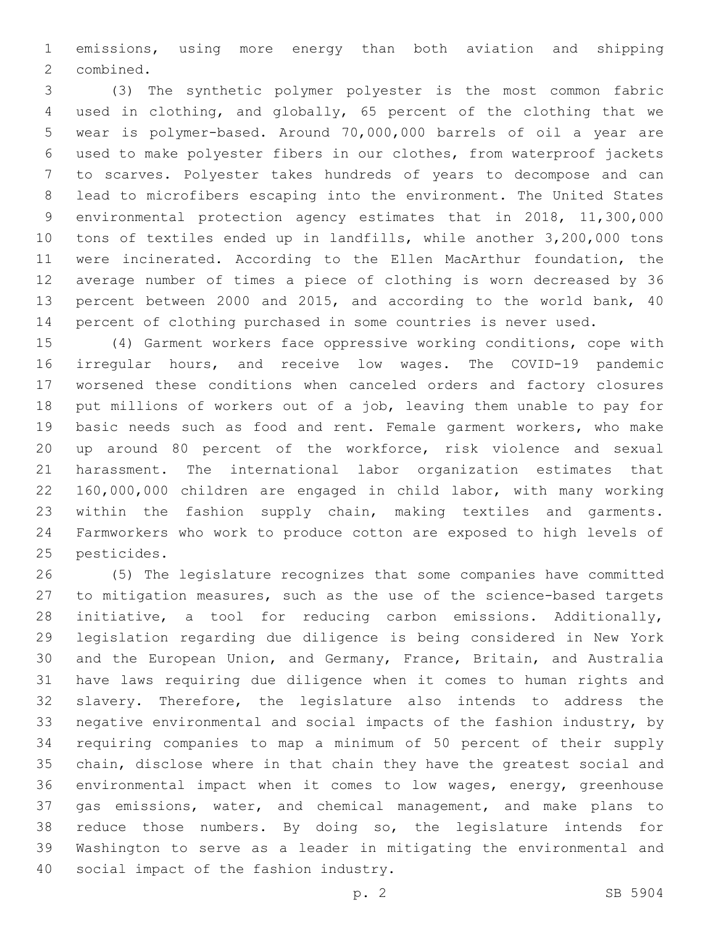emissions, using more energy than both aviation and shipping 2 combined.

 (3) The synthetic polymer polyester is the most common fabric used in clothing, and globally, 65 percent of the clothing that we wear is polymer-based. Around 70,000,000 barrels of oil a year are used to make polyester fibers in our clothes, from waterproof jackets to scarves. Polyester takes hundreds of years to decompose and can lead to microfibers escaping into the environment. The United States environmental protection agency estimates that in 2018, 11,300,000 tons of textiles ended up in landfills, while another 3,200,000 tons were incinerated. According to the Ellen MacArthur foundation, the average number of times a piece of clothing is worn decreased by 36 percent between 2000 and 2015, and according to the world bank, 40 percent of clothing purchased in some countries is never used.

 (4) Garment workers face oppressive working conditions, cope with irregular hours, and receive low wages. The COVID-19 pandemic worsened these conditions when canceled orders and factory closures put millions of workers out of a job, leaving them unable to pay for basic needs such as food and rent. Female garment workers, who make up around 80 percent of the workforce, risk violence and sexual harassment. The international labor organization estimates that 160,000,000 children are engaged in child labor, with many working within the fashion supply chain, making textiles and garments. Farmworkers who work to produce cotton are exposed to high levels of 25 pesticides.

 (5) The legislature recognizes that some companies have committed to mitigation measures, such as the use of the science-based targets initiative, a tool for reducing carbon emissions. Additionally, legislation regarding due diligence is being considered in New York and the European Union, and Germany, France, Britain, and Australia have laws requiring due diligence when it comes to human rights and slavery. Therefore, the legislature also intends to address the negative environmental and social impacts of the fashion industry, by requiring companies to map a minimum of 50 percent of their supply chain, disclose where in that chain they have the greatest social and environmental impact when it comes to low wages, energy, greenhouse gas emissions, water, and chemical management, and make plans to reduce those numbers. By doing so, the legislature intends for Washington to serve as a leader in mitigating the environmental and 40 social impact of the fashion industry.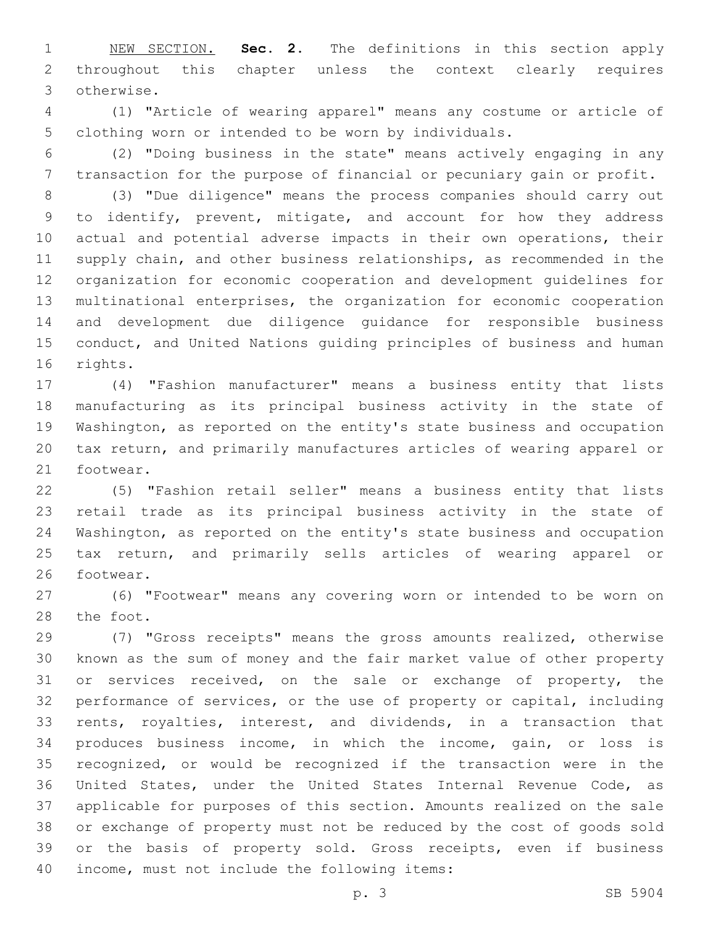NEW SECTION. **Sec. 2.** The definitions in this section apply throughout this chapter unless the context clearly requires otherwise.

 (1) "Article of wearing apparel" means any costume or article of clothing worn or intended to be worn by individuals.

 (2) "Doing business in the state" means actively engaging in any transaction for the purpose of financial or pecuniary gain or profit.

 (3) "Due diligence" means the process companies should carry out to identify, prevent, mitigate, and account for how they address actual and potential adverse impacts in their own operations, their supply chain, and other business relationships, as recommended in the organization for economic cooperation and development guidelines for multinational enterprises, the organization for economic cooperation and development due diligence guidance for responsible business conduct, and United Nations guiding principles of business and human 16 rights.

 (4) "Fashion manufacturer" means a business entity that lists manufacturing as its principal business activity in the state of Washington, as reported on the entity's state business and occupation tax return, and primarily manufactures articles of wearing apparel or 21 footwear.

 (5) "Fashion retail seller" means a business entity that lists retail trade as its principal business activity in the state of Washington, as reported on the entity's state business and occupation tax return, and primarily sells articles of wearing apparel or 26 footwear.

 (6) "Footwear" means any covering worn or intended to be worn on 28 the foot.

 (7) "Gross receipts" means the gross amounts realized, otherwise known as the sum of money and the fair market value of other property or services received, on the sale or exchange of property, the performance of services, or the use of property or capital, including rents, royalties, interest, and dividends, in a transaction that produces business income, in which the income, gain, or loss is recognized, or would be recognized if the transaction were in the United States, under the United States Internal Revenue Code, as applicable for purposes of this section. Amounts realized on the sale or exchange of property must not be reduced by the cost of goods sold or the basis of property sold. Gross receipts, even if business 40 income, must not include the following items: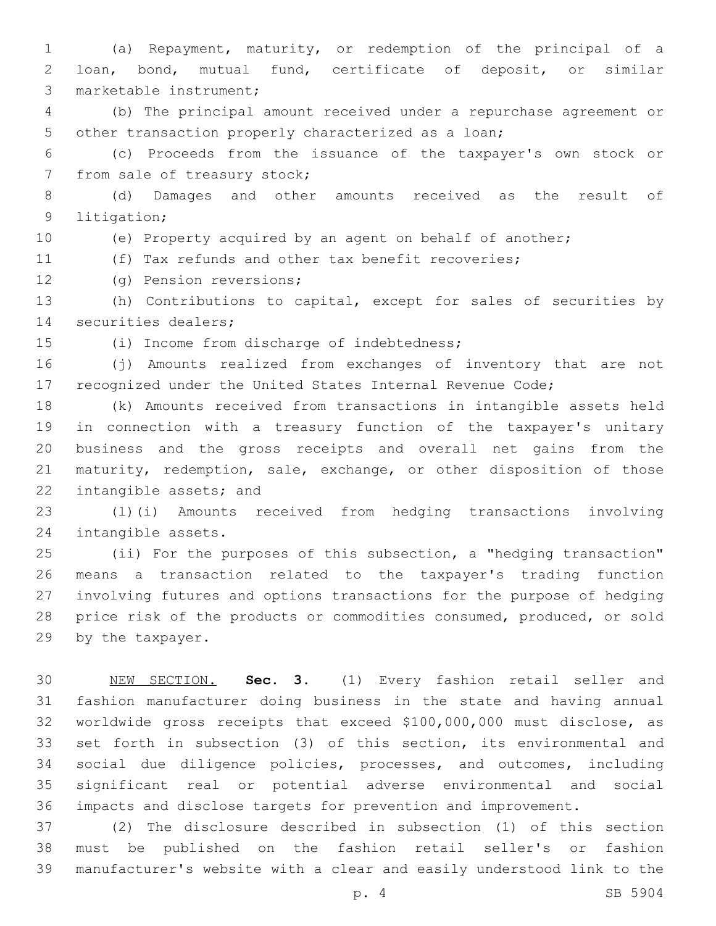(a) Repayment, maturity, or redemption of the principal of a loan, bond, mutual fund, certificate of deposit, or similar 3 marketable instrument;

 (b) The principal amount received under a repurchase agreement or other transaction properly characterized as a loan;

 (c) Proceeds from the issuance of the taxpayer's own stock or 7 from sale of treasury stock;

 (d) Damages and other amounts received as the result of 9 litigation;

(e) Property acquired by an agent on behalf of another;

(f) Tax refunds and other tax benefit recoveries;

12 (g) Pension reversions;

 (h) Contributions to capital, except for sales of securities by 14 securities dealers;

(i) Income from discharge of indebtedness;15

 (j) Amounts realized from exchanges of inventory that are not recognized under the United States Internal Revenue Code;

 (k) Amounts received from transactions in intangible assets held in connection with a treasury function of the taxpayer's unitary business and the gross receipts and overall net gains from the maturity, redemption, sale, exchange, or other disposition of those 22 intangible assets; and

 (l)(i) Amounts received from hedging transactions involving 24 intangible assets.

 (ii) For the purposes of this subsection, a "hedging transaction" means a transaction related to the taxpayer's trading function involving futures and options transactions for the purpose of hedging price risk of the products or commodities consumed, produced, or sold 29 by the taxpayer.

 NEW SECTION. **Sec. 3.** (1) Every fashion retail seller and fashion manufacturer doing business in the state and having annual worldwide gross receipts that exceed \$100,000,000 must disclose, as set forth in subsection (3) of this section, its environmental and social due diligence policies, processes, and outcomes, including significant real or potential adverse environmental and social impacts and disclose targets for prevention and improvement.

 (2) The disclosure described in subsection (1) of this section must be published on the fashion retail seller's or fashion manufacturer's website with a clear and easily understood link to the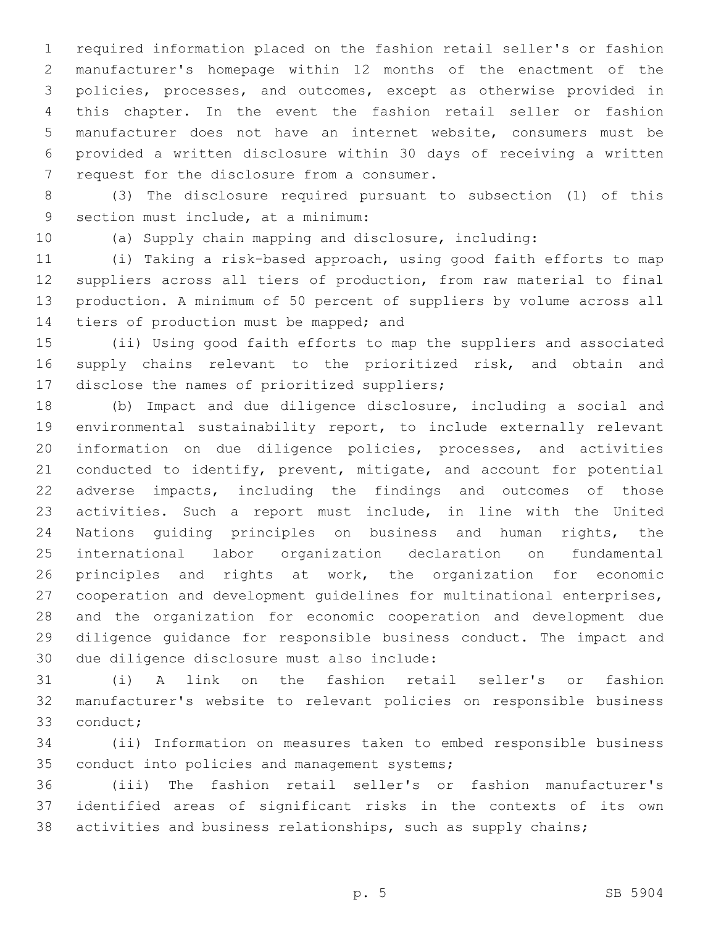required information placed on the fashion retail seller's or fashion manufacturer's homepage within 12 months of the enactment of the policies, processes, and outcomes, except as otherwise provided in this chapter. In the event the fashion retail seller or fashion manufacturer does not have an internet website, consumers must be provided a written disclosure within 30 days of receiving a written 7 request for the disclosure from a consumer.

 (3) The disclosure required pursuant to subsection (1) of this 9 section must include, at a minimum:

(a) Supply chain mapping and disclosure, including:

 (i) Taking a risk-based approach, using good faith efforts to map suppliers across all tiers of production, from raw material to final production. A minimum of 50 percent of suppliers by volume across all 14 tiers of production must be mapped; and

 (ii) Using good faith efforts to map the suppliers and associated 16 supply chains relevant to the prioritized risk, and obtain and 17 disclose the names of prioritized suppliers;

 (b) Impact and due diligence disclosure, including a social and environmental sustainability report, to include externally relevant information on due diligence policies, processes, and activities conducted to identify, prevent, mitigate, and account for potential adverse impacts, including the findings and outcomes of those activities. Such a report must include, in line with the United Nations guiding principles on business and human rights, the international labor organization declaration on fundamental principles and rights at work, the organization for economic cooperation and development guidelines for multinational enterprises, and the organization for economic cooperation and development due diligence guidance for responsible business conduct. The impact and 30 due diligence disclosure must also include:

 (i) A link on the fashion retail seller's or fashion manufacturer's website to relevant policies on responsible business 33 conduct;

 (ii) Information on measures taken to embed responsible business 35 conduct into policies and management systems;

 (iii) The fashion retail seller's or fashion manufacturer's identified areas of significant risks in the contexts of its own activities and business relationships, such as supply chains;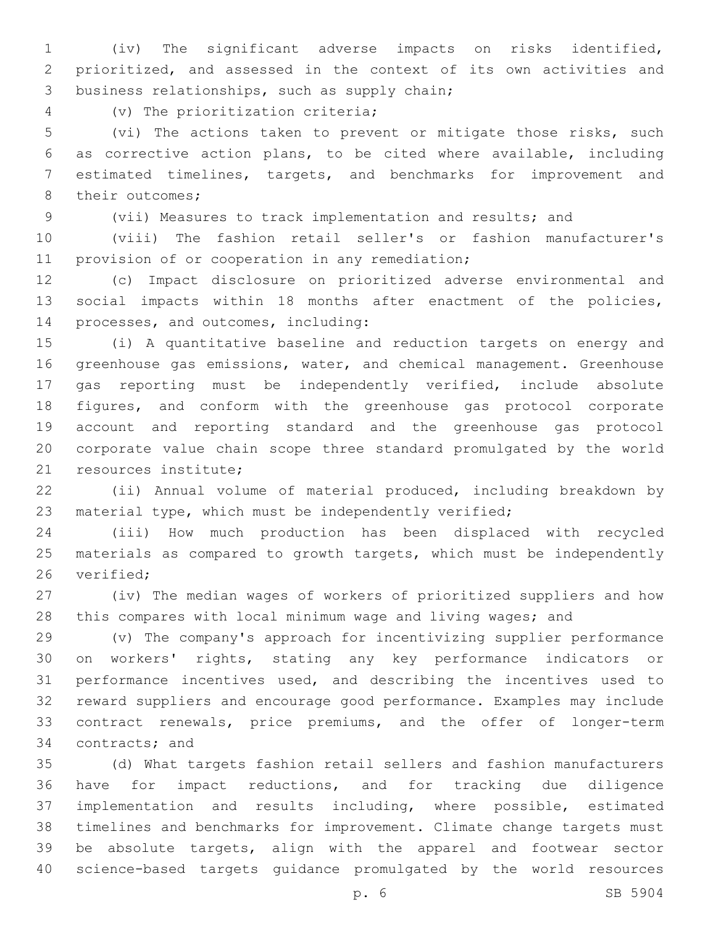(iv) The significant adverse impacts on risks identified, prioritized, and assessed in the context of its own activities and 3 business relationships, such as supply chain;

(v) The prioritization criteria;4

 (vi) The actions taken to prevent or mitigate those risks, such as corrective action plans, to be cited where available, including estimated timelines, targets, and benchmarks for improvement and 8 their outcomes;

(vii) Measures to track implementation and results; and

 (viii) The fashion retail seller's or fashion manufacturer's 11 provision of or cooperation in any remediation;

 (c) Impact disclosure on prioritized adverse environmental and social impacts within 18 months after enactment of the policies, 14 processes, and outcomes, including:

 (i) A quantitative baseline and reduction targets on energy and greenhouse gas emissions, water, and chemical management. Greenhouse gas reporting must be independently verified, include absolute figures, and conform with the greenhouse gas protocol corporate account and reporting standard and the greenhouse gas protocol corporate value chain scope three standard promulgated by the world 21 resources institute;

 (ii) Annual volume of material produced, including breakdown by material type, which must be independently verified;

 (iii) How much production has been displaced with recycled materials as compared to growth targets, which must be independently 26 verified:

 (iv) The median wages of workers of prioritized suppliers and how this compares with local minimum wage and living wages; and

 (v) The company's approach for incentivizing supplier performance on workers' rights, stating any key performance indicators or performance incentives used, and describing the incentives used to reward suppliers and encourage good performance. Examples may include contract renewals, price premiums, and the offer of longer-term 34 contracts; and

 (d) What targets fashion retail sellers and fashion manufacturers have for impact reductions, and for tracking due diligence implementation and results including, where possible, estimated timelines and benchmarks for improvement. Climate change targets must be absolute targets, align with the apparel and footwear sector science-based targets guidance promulgated by the world resources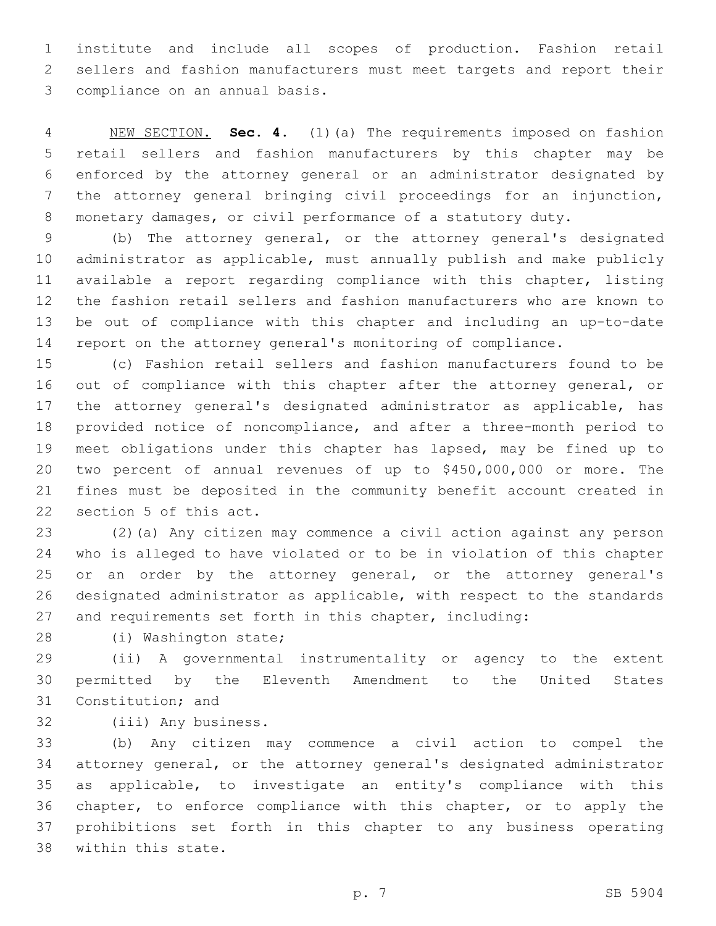institute and include all scopes of production. Fashion retail sellers and fashion manufacturers must meet targets and report their 3 compliance on an annual basis.

 NEW SECTION. **Sec. 4.** (1)(a) The requirements imposed on fashion retail sellers and fashion manufacturers by this chapter may be enforced by the attorney general or an administrator designated by the attorney general bringing civil proceedings for an injunction, monetary damages, or civil performance of a statutory duty.

 (b) The attorney general, or the attorney general's designated administrator as applicable, must annually publish and make publicly available a report regarding compliance with this chapter, listing the fashion retail sellers and fashion manufacturers who are known to be out of compliance with this chapter and including an up-to-date report on the attorney general's monitoring of compliance.

 (c) Fashion retail sellers and fashion manufacturers found to be 16 out of compliance with this chapter after the attorney general, or the attorney general's designated administrator as applicable, has provided notice of noncompliance, and after a three-month period to meet obligations under this chapter has lapsed, may be fined up to two percent of annual revenues of up to \$450,000,000 or more. The fines must be deposited in the community benefit account created in 22 section 5 of this act.

 (2)(a) Any citizen may commence a civil action against any person who is alleged to have violated or to be in violation of this chapter or an order by the attorney general, or the attorney general's designated administrator as applicable, with respect to the standards and requirements set forth in this chapter, including:

28 (i) Washington state;

 (ii) A governmental instrumentality or agency to the extent permitted by the Eleventh Amendment to the United States 31 Constitution; and

32 (iii) Any business.

 (b) Any citizen may commence a civil action to compel the attorney general, or the attorney general's designated administrator as applicable, to investigate an entity's compliance with this chapter, to enforce compliance with this chapter, or to apply the prohibitions set forth in this chapter to any business operating 38 within this state.